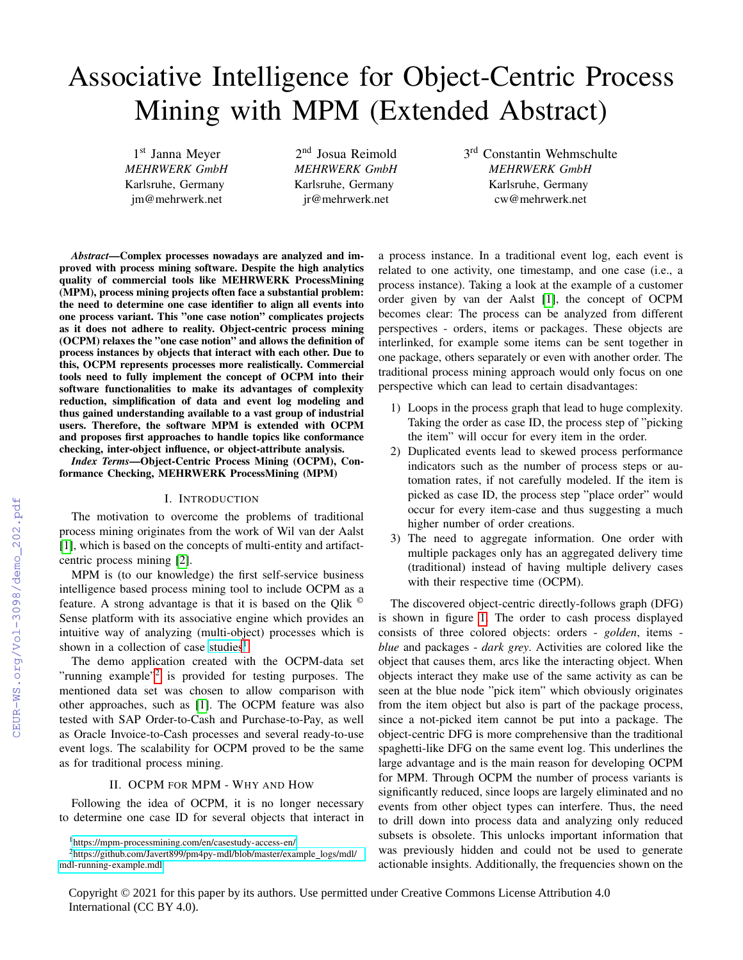# Associative Intelligence for Object-Centric Process Mining with MPM (Extended Abstract)

1 st Janna Meyer *MEHRWERK GmbH* Karlsruhe, Germany jm@mehrwerk.net

2<sup>nd</sup> Josua Reimold *MEHRWERK GmbH* Karlsruhe, Germany jr@mehrwerk.net

3<sup>rd</sup> Constantin Wehmschulte *MEHRWERK GmbH* Karlsruhe, Germany cw@mehrwerk.net

*Abstract*—Complex processes nowadays are analyzed and improved with process mining software. Despite the high analytics quality of commercial tools like MEHRWERK ProcessMining (MPM), process mining projects often face a substantial problem: the need to determine one case identifier to align all events into one process variant. This "one case notion" complicates projects as it does not adhere to reality. Object-centric process mining (OCPM) relaxes the "one case notion" and allows the definition of process instances by objects that interact with each other. Due to this, OCPM represents processes more realistically. Commercial tools need to fully implement the concept of OCPM into their software functionalities to make its advantages of complexity reduction, simplification of data and event log modeling and thus gained understanding available to a vast group of industrial users. Therefore, the software MPM is extended with OCPM and proposes first approaches to handle topics like conformance checking, inter-object influence, or object-attribute analysis.

*Index Terms*—Object-Centric Process Mining (OCPM), Conformance Checking, MEHRWERK ProcessMining (MPM)

#### I. INTRODUCTION

The motivation to overcome the problems of traditional process mining originates from the work of Wil van der Aalst [\[1\]](#page--1-0), which is based on the concepts of multi-entity and artifactcentric process mining [\[2\]](#page--1-1).

MPM is (to our knowledge) the first self-service business intelligence based process mining tool to include OCPM as a feature. A strong advantage is that it is based on the Qlik © Sense platform with its associative engine which provides an intuitive way of analyzing (multi-object) processes which is shown in a collection of case [studies](https://mpm-processmining.com/en/casestudy-access-en/)<sup>[1](#page-0-0)</sup>.

The demo application created with the OCPM-data set "running example"<sup>[2](#page-0-1)</sup> is provided for testing purposes. The mentioned data set was chosen to allow comparison with other approaches, such as [\[1\]](#page--1-0). The OCPM feature was also tested with SAP Order-to-Cash and Purchase-to-Pay, as well as Oracle Invoice-to-Cash processes and several ready-to-use event logs. The scalability for OCPM proved to be the same as for traditional process mining.

#### II. OCPM FOR MPM - WHY AND HOW

Following the idea of OCPM, it is no longer necessary to determine one case ID for several objects that interact in a process instance. In a traditional event log, each event is related to one activity, one timestamp, and one case (i.e., a process instance). Taking a look at the example of a customer order given by van der Aalst [\[1\]](#page--1-0), the concept of OCPM becomes clear: The process can be analyzed from different perspectives - orders, items or packages. These objects are interlinked, for example some items can be sent together in one package, others separately or even with another order. The traditional process mining approach would only focus on one perspective which can lead to certain disadvantages:

- 1) Loops in the process graph that lead to huge complexity. Taking the order as case ID, the process step of "picking the item" will occur for every item in the order.
- 2) Duplicated events lead to skewed process performance indicators such as the number of process steps or automation rates, if not carefully modeled. If the item is picked as case ID, the process step "place order" would occur for every item-case and thus suggesting a much higher number of order creations.
- 3) The need to aggregate information. One order with multiple packages only has an aggregated delivery time (traditional) instead of having multiple delivery cases with their respective time (OCPM).

The discovered object-centric directly-follows graph (DFG) is shown in figure [1.](#page--1-2) The order to cash process displayed consists of three colored objects: orders - *golden*, items *blue* and packages - *dark grey*. Activities are colored like the object that causes them, arcs like the interacting object. When objects interact they make use of the same activity as can be seen at the blue node "pick item" which obviously originates from the item object but also is part of the package process, since a not-picked item cannot be put into a package. The object-centric DFG is more comprehensive than the traditional spaghetti-like DFG on the same event log. This underlines the large advantage and is the main reason for developing OCPM for MPM. Through OCPM the number of process variants is significantly reduced, since loops are largely eliminated and no events from other object types can interfere. Thus, the need to drill down into process data and analyzing only reduced subsets is obsolete. This unlocks important information that was previously hidden and could not be used to generate actionable insights. Additionally, the frequencies shown on the

Copyright © 2021 for this paper by its authors. Use permitted under Creative Commons License Attribution 4.0 International (CC BY 4.0).

<span id="page-0-1"></span><span id="page-0-0"></span><sup>1</sup><https://mpm-processmining.com/en/casestudy-access-en/>

<sup>&</sup>lt;sup>2</sup>[https://github.com/Javert899/pm4py-mdl/blob/master/example](https://github.com/Javert899/pm4py-mdl/blob/master/example_logs/mdl/mdl-running-example.mdl)\_logs/mdl/ [mdl-running-example.mdl](https://github.com/Javert899/pm4py-mdl/blob/master/example_logs/mdl/mdl-running-example.mdl)